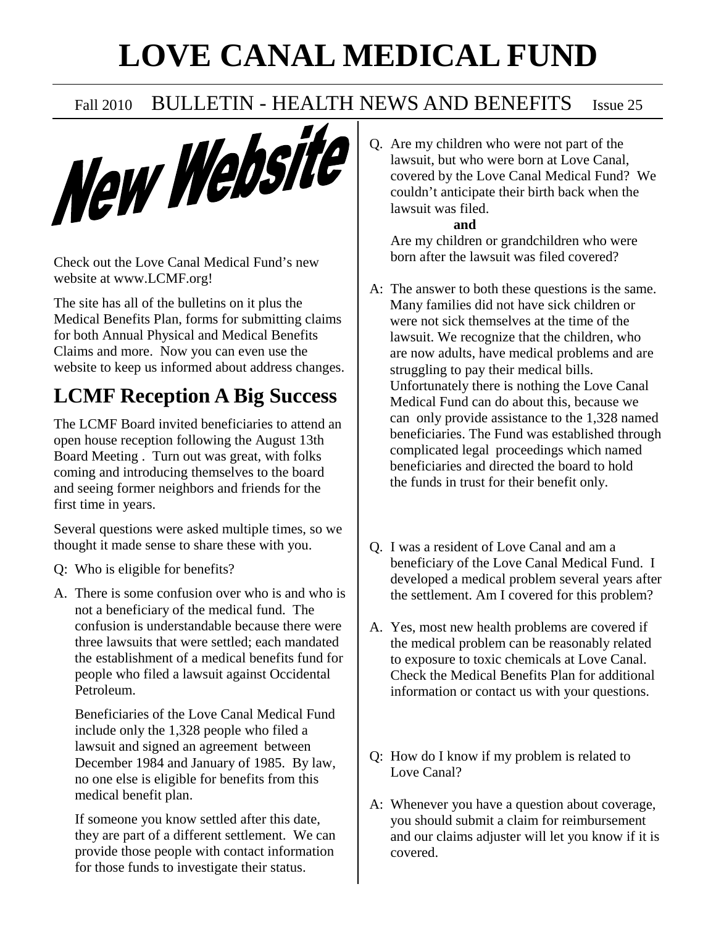# **LOVE CANAL MEDICAL FUND**



Check out the Love Canal Medical Fund's new website at www.LCMF.org!

The site has all of the bulletins on it plus the Medical Benefits Plan, forms for submitting claims for both Annual Physical and Medical Benefits Claims and more. Now you can even use the website to keep us informed about address changes.

## **LCMF Reception A Big Success**

The LCMF Board invited beneficiaries to attend an open house reception following the August 13th Board Meeting . Turn out was great, with folks coming and introducing themselves to the board and seeing former neighbors and friends for the first time in years.

Several questions were asked multiple times, so we thought it made sense to share these with you.

- Q: Who is eligible for benefits?
- A. There is some confusion over who is and who is not a beneficiary of the medical fund. The confusion is understandable because there were three lawsuits that were settled; each mandated the establishment of a medical benefits fund for people who filed a lawsuit against Occidental Petroleum.

 Beneficiaries of the Love Canal Medical Fund include only the 1,328 people who filed a lawsuit and signed an agreement between December 1984 and January of 1985. By law, no one else is eligible for benefits from this medical benefit plan.

 If someone you know settled after this date, they are part of a different settlement. We can provide those people with contact information for those funds to investigate their status.

Q. Are my children who were not part of the lawsuit, but who were born at Love Canal, covered by the Love Canal Medical Fund? We couldn't anticipate their birth back when the lawsuit was filed. **and**

 Are my children or grandchildren who were born after the lawsuit was filed covered?

- A: The answer to both these questions is the same. Many families did not have sick children or were not sick themselves at the time of the lawsuit. We recognize that the children, who are now adults, have medical problems and are struggling to pay their medical bills. Unfortunately there is nothing the Love Canal Medical Fund can do about this, because we can only provide assistance to the 1,328 named beneficiaries. The Fund was established through complicated legal proceedings which named beneficiaries and directed the board to hold the funds in trust for their benefit only.
- Q. I was a resident of Love Canal and am a beneficiary of the Love Canal Medical Fund. I developed a medical problem several years after the settlement. Am I covered for this problem?
- A. Yes, most new health problems are covered if the medical problem can be reasonably related to exposure to toxic chemicals at Love Canal. Check the Medical Benefits Plan for additional information or contact us with your questions.
- Q: How do I know if my problem is related to Love Canal?
- A: Whenever you have a question about coverage, you should submit a claim for reimbursement and our claims adjuster will let you know if it is covered.